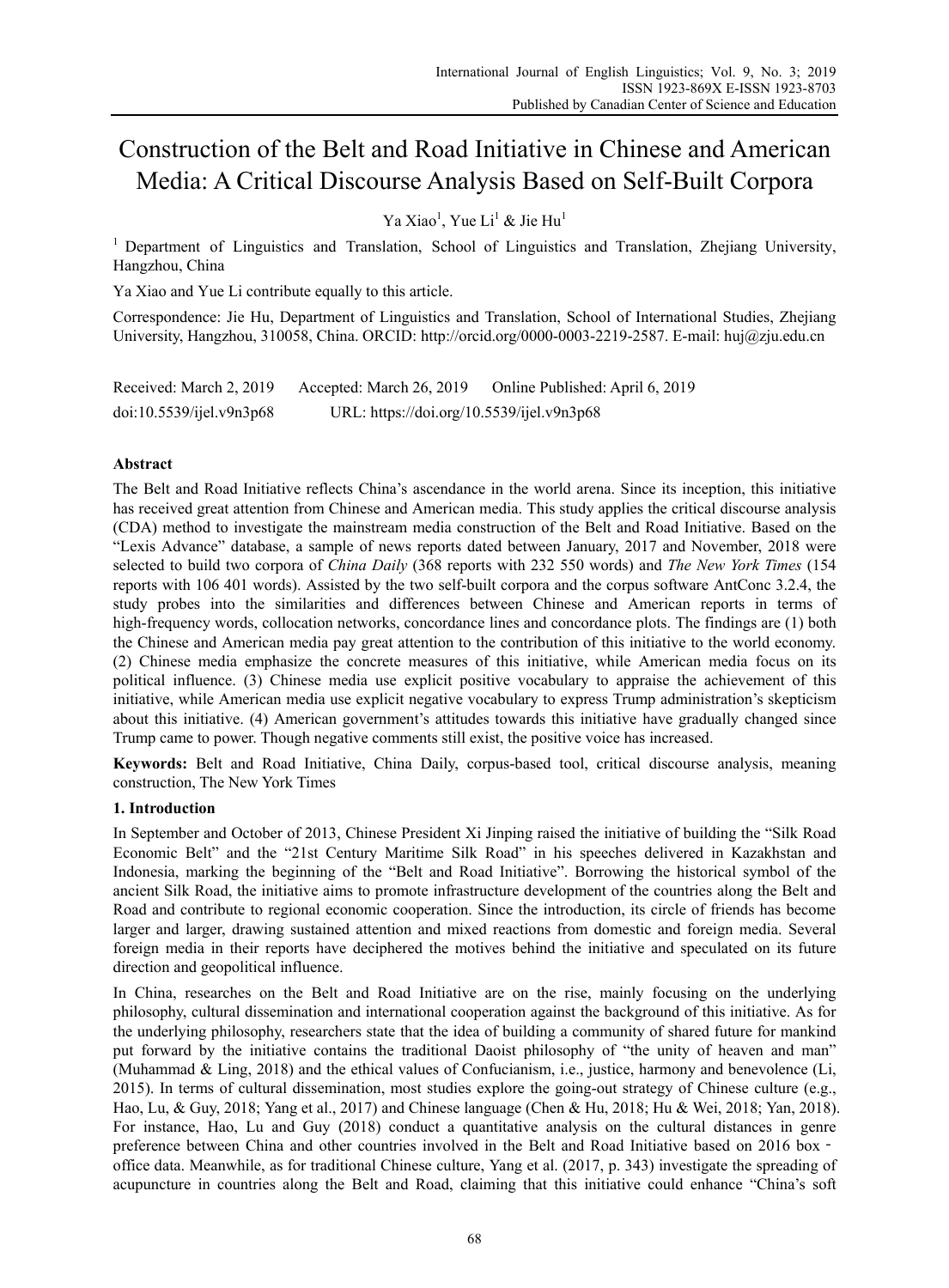# Construction of the Belt and Road Initiative in Chinese and American Media: A Critical Discourse Analysis Based on Self-Built Corpora

Ya Xiao<sup>1</sup>, Yue Li<sup>1</sup> & Jie Hu<sup>1</sup>

1 Department of Linguistics and Translation, School of Linguistics and Translation, Zhejiang University, Hangzhou, China

Ya Xiao and Yue Li contribute equally to this article.

Correspondence: Jie Hu, Department of Linguistics and Translation, School of International Studies, Zhejiang University, Hangzhou, 310058, China. ORCID: http://orcid.org/0000-0003-2219-2587. E-mail: huj@zju.edu.cn

| Received: March 2, 2019  | Accepted: March 26, 2019                  | Online Published: April 6, 2019 |
|--------------------------|-------------------------------------------|---------------------------------|
| doi:10.5539/ijel.v9n3p68 | URL: https://doi.org/10.5539/ijel.v9n3p68 |                                 |

# **Abstract**

The Belt and Road Initiative reflects China's ascendance in the world arena. Since its inception, this initiative has received great attention from Chinese and American media. This study applies the critical discourse analysis (CDA) method to investigate the mainstream media construction of the Belt and Road Initiative. Based on the "Lexis Advance" database, a sample of news reports dated between January, 2017 and November, 2018 were selected to build two corpora of *China Daily* (368 reports with 232 550 words) and *The New York Times* (154 reports with 106 401 words). Assisted by the two self-built corpora and the corpus software AntConc 3.2.4, the study probes into the similarities and differences between Chinese and American reports in terms of high-frequency words, collocation networks, concordance lines and concordance plots. The findings are (1) both the Chinese and American media pay great attention to the contribution of this initiative to the world economy. (2) Chinese media emphasize the concrete measures of this initiative, while American media focus on its political influence. (3) Chinese media use explicit positive vocabulary to appraise the achievement of this initiative, while American media use explicit negative vocabulary to express Trump administration's skepticism about this initiative. (4) American government's attitudes towards this initiative have gradually changed since Trump came to power. Though negative comments still exist, the positive voice has increased.

**Keywords:** Belt and Road Initiative, China Daily, corpus-based tool, critical discourse analysis, meaning construction, The New York Times

# **1. Introduction**

In September and October of 2013, Chinese President Xi Jinping raised the initiative of building the "Silk Road Economic Belt" and the "21st Century Maritime Silk Road" in his speeches delivered in Kazakhstan and Indonesia, marking the beginning of the "Belt and Road Initiative". Borrowing the historical symbol of the ancient Silk Road, the initiative aims to promote infrastructure development of the countries along the Belt and Road and contribute to regional economic cooperation. Since the introduction, its circle of friends has become larger and larger, drawing sustained attention and mixed reactions from domestic and foreign media. Several foreign media in their reports have deciphered the motives behind the initiative and speculated on its future direction and geopolitical influence.

In China, researches on the Belt and Road Initiative are on the rise, mainly focusing on the underlying philosophy, cultural dissemination and international cooperation against the background of this initiative. As for the underlying philosophy, researchers state that the idea of building a community of shared future for mankind put forward by the initiative contains the traditional Daoist philosophy of "the unity of heaven and man" (Muhammad & Ling, 2018) and the ethical values of Confucianism, i.e., justice, harmony and benevolence (Li, 2015). In terms of cultural dissemination, most studies explore the going-out strategy of Chinese culture (e.g., Hao, Lu, & Guy, 2018; Yang et al., 2017) and Chinese language (Chen & Hu, 2018; Hu & Wei, 2018; Yan, 2018). For instance, Hao, Lu and Guy (2018) conduct a quantitative analysis on the cultural distances in genre preference between China and other countries involved in the Belt and Road Initiative based on 2016 box office data. Meanwhile, as for traditional Chinese culture, Yang et al. (2017, p. 343) investigate the spreading of acupuncture in countries along the Belt and Road, claiming that this initiative could enhance "China's soft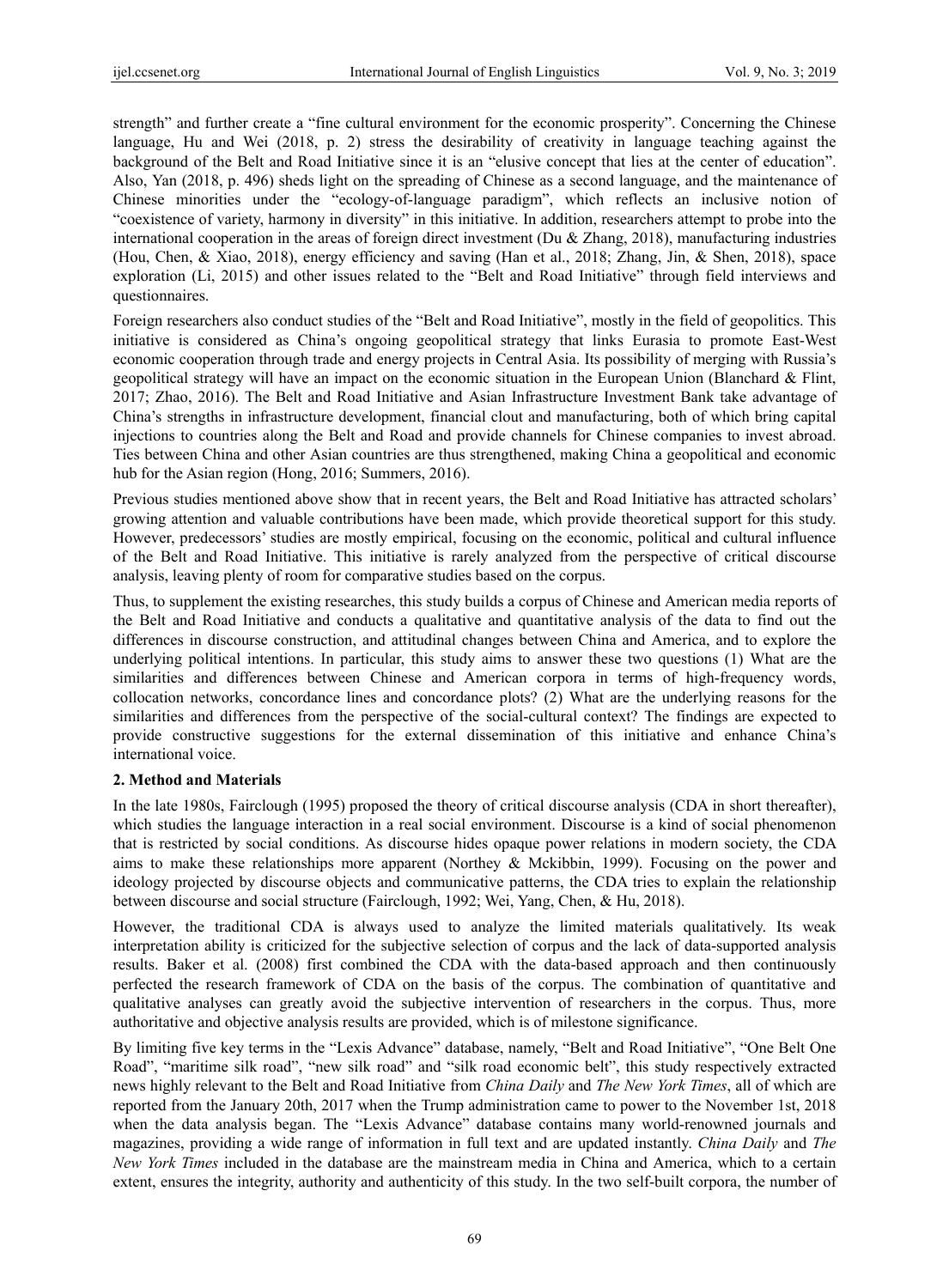strength" and further create a "fine cultural environment for the economic prosperity". Concerning the Chinese language, Hu and Wei (2018, p. 2) stress the desirability of creativity in language teaching against the background of the Belt and Road Initiative since it is an "elusive concept that lies at the center of education". Also, Yan (2018, p. 496) sheds light on the spreading of Chinese as a second language, and the maintenance of Chinese minorities under the "ecology-of-language paradigm", which reflects an inclusive notion of "coexistence of variety, harmony in diversity" in this initiative. In addition, researchers attempt to probe into the international cooperation in the areas of foreign direct investment (Du & Zhang, 2018), manufacturing industries (Hou, Chen, & Xiao, 2018), energy efficiency and saving (Han et al., 2018; Zhang, Jin, & Shen, 2018), space exploration (Li, 2015) and other issues related to the "Belt and Road Initiative" through field interviews and questionnaires.

Foreign researchers also conduct studies of the "Belt and Road Initiative", mostly in the field of geopolitics. This initiative is considered as China's ongoing geopolitical strategy that links Eurasia to promote East-West economic cooperation through trade and energy projects in Central Asia. Its possibility of merging with Russia's geopolitical strategy will have an impact on the economic situation in the European Union (Blanchard & Flint, 2017; Zhao, 2016). The Belt and Road Initiative and Asian Infrastructure Investment Bank take advantage of China's strengths in infrastructure development, financial clout and manufacturing, both of which bring capital injections to countries along the Belt and Road and provide channels for Chinese companies to invest abroad. Ties between China and other Asian countries are thus strengthened, making China a geopolitical and economic hub for the Asian region (Hong, 2016; Summers, 2016).

Previous studies mentioned above show that in recent years, the Belt and Road Initiative has attracted scholars' growing attention and valuable contributions have been made, which provide theoretical support for this study. However, predecessors' studies are mostly empirical, focusing on the economic, political and cultural influence of the Belt and Road Initiative. This initiative is rarely analyzed from the perspective of critical discourse analysis, leaving plenty of room for comparative studies based on the corpus.

Thus, to supplement the existing researches, this study builds a corpus of Chinese and American media reports of the Belt and Road Initiative and conducts a qualitative and quantitative analysis of the data to find out the differences in discourse construction, and attitudinal changes between China and America, and to explore the underlying political intentions. In particular, this study aims to answer these two questions (1) What are the similarities and differences between Chinese and American corpora in terms of high-frequency words, collocation networks, concordance lines and concordance plots? (2) What are the underlying reasons for the similarities and differences from the perspective of the social-cultural context? The findings are expected to provide constructive suggestions for the external dissemination of this initiative and enhance China's international voice.

#### **2. Method and Materials**

In the late 1980s, Fairclough (1995) proposed the theory of critical discourse analysis (CDA in short thereafter), which studies the language interaction in a real social environment. Discourse is a kind of social phenomenon that is restricted by social conditions. As discourse hides opaque power relations in modern society, the CDA aims to make these relationships more apparent (Northey & Mckibbin, 1999). Focusing on the power and ideology projected by discourse objects and communicative patterns, the CDA tries to explain the relationship between discourse and social structure (Fairclough, 1992; Wei, Yang, Chen, & Hu, 2018).

However, the traditional CDA is always used to analyze the limited materials qualitatively. Its weak interpretation ability is criticized for the subjective selection of corpus and the lack of data-supported analysis results. Baker et al. (2008) first combined the CDA with the data-based approach and then continuously perfected the research framework of CDA on the basis of the corpus. The combination of quantitative and qualitative analyses can greatly avoid the subjective intervention of researchers in the corpus. Thus, more authoritative and objective analysis results are provided, which is of milestone significance.

By limiting five key terms in the "Lexis Advance" database, namely, "Belt and Road Initiative", "One Belt One Road", "maritime silk road", "new silk road" and "silk road economic belt", this study respectively extracted news highly relevant to the Belt and Road Initiative from *China Daily* and *The New York Times*, all of which are reported from the January 20th, 2017 when the Trump administration came to power to the November 1st, 2018 when the data analysis began. The "Lexis Advance" database contains many world-renowned journals and magazines, providing a wide range of information in full text and are updated instantly. *China Daily* and *The New York Times* included in the database are the mainstream media in China and America, which to a certain extent, ensures the integrity, authority and authenticity of this study. In the two self-built corpora, the number of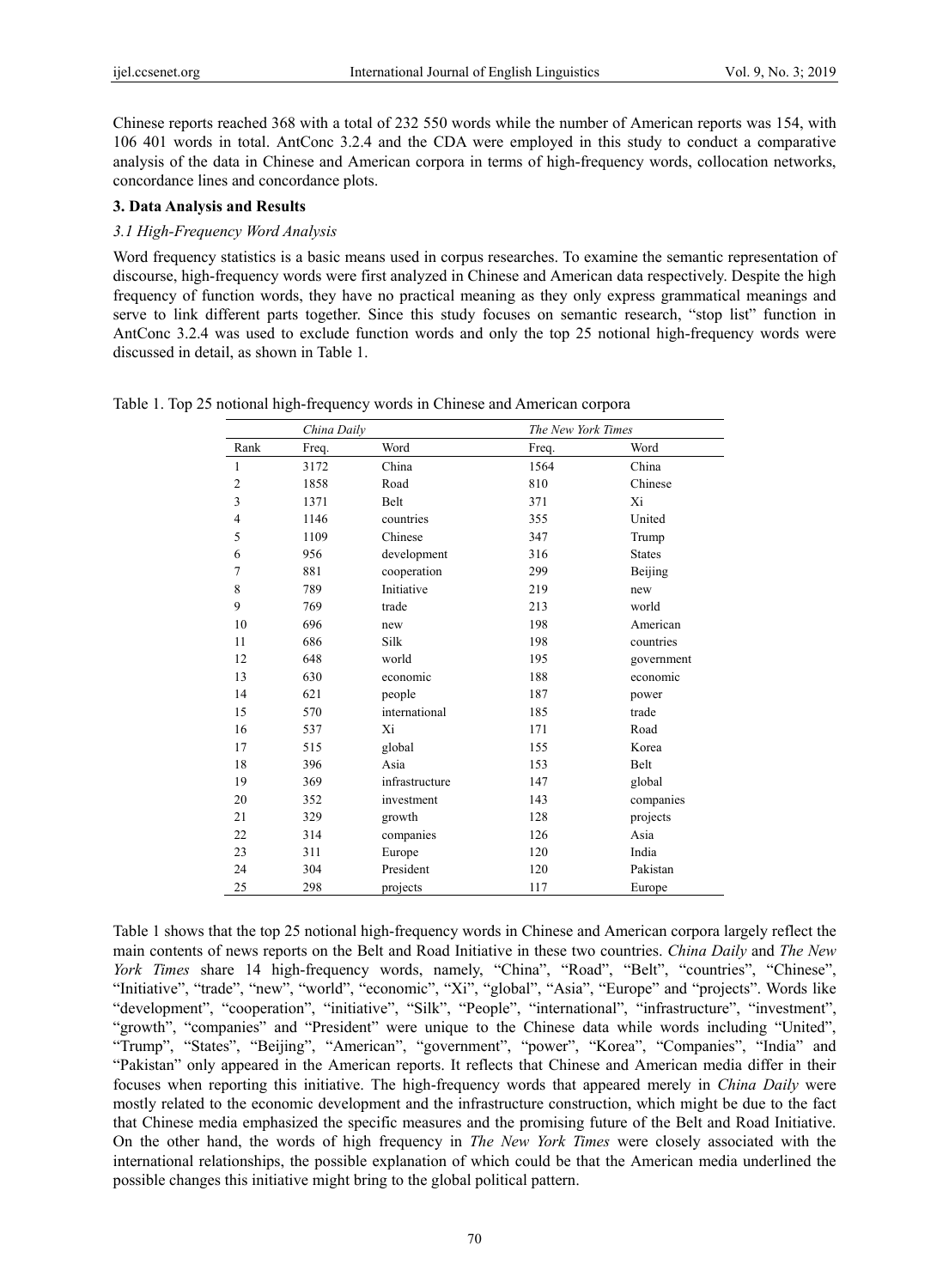Chinese reports reached 368 with a total of 232 550 words while the number of American reports was 154, with 106 401 words in total. AntConc 3.2.4 and the CDA were employed in this study to conduct a comparative analysis of the data in Chinese and American corpora in terms of high-frequency words, collocation networks, concordance lines and concordance plots.

#### **3. Data Analysis and Results**

#### *3.1 High-Frequency Word Analysis*

Word frequency statistics is a basic means used in corpus researches. To examine the semantic representation of discourse, high-frequency words were first analyzed in Chinese and American data respectively. Despite the high frequency of function words, they have no practical meaning as they only express grammatical meanings and serve to link different parts together. Since this study focuses on semantic research, "stop list" function in AntConc 3.2.4 was used to exclude function words and only the top 25 notional high-frequency words were discussed in detail, as shown in Table 1.

|  |  | Table 1. Top 25 notional high-frequency words in Chinese and American corpora |  |  |  |
|--|--|-------------------------------------------------------------------------------|--|--|--|
|  |  |                                                                               |  |  |  |

| China Daily  |       | The New York Times |       |               |
|--------------|-------|--------------------|-------|---------------|
| Rank         | Freq. | Word               | Freq. | Word          |
| $\mathbf{1}$ | 3172  | China              | 1564  | China         |
| 2            | 1858  | Road               | 810   | Chinese       |
| 3            | 1371  | Belt               | 371   | Xi            |
| 4            | 1146  | countries          | 355   | United        |
| 5            | 1109  | Chinese            | 347   | Trump         |
| 6            | 956   | development        | 316   | <b>States</b> |
| 7            | 881   | cooperation        | 299   | Beijing       |
| 8            | 789   | Initiative         | 219   | new           |
| 9            | 769   | trade              | 213   | world         |
| 10           | 696   | new                | 198   | American      |
| 11           | 686   | Silk               | 198   | countries     |
| 12           | 648   | world              | 195   | government    |
| 13           | 630   | economic           | 188   | economic      |
| 14           | 621   | people             | 187   | power         |
| 15           | 570   | international      | 185   | trade         |
| 16           | 537   | Xi                 | 171   | Road          |
| 17           | 515   | global             | 155   | Korea         |
| 18           | 396   | Asia               | 153   | Belt          |
| 19           | 369   | infrastructure     | 147   | global        |
| 20           | 352   | investment         | 143   | companies     |
| 21           | 329   | growth             | 128   | projects      |
| 22           | 314   | companies          | 126   | Asia          |
| 23           | 311   | Europe             | 120   | India         |
| 24           | 304   | President          | 120   | Pakistan      |
| 25           | 298   | projects           | 117   | Europe        |

Table 1 shows that the top 25 notional high-frequency words in Chinese and American corpora largely reflect the main contents of news reports on the Belt and Road Initiative in these two countries. *China Daily* and *The New York Times* share 14 high-frequency words, namely, "China", "Road", "Belt", "countries", "Chinese", "Initiative", "trade", "new", "world", "economic", "Xi", "global", "Asia", "Europe" and "projects". Words like "development", "cooperation", "initiative", "Silk", "People", "international", "infrastructure", "investment", "growth", "companies" and "President" were unique to the Chinese data while words including "United", "Trump", "States", "Beijing", "American", "government", "power", "Korea", "Companies", "India" and "Pakistan" only appeared in the American reports. It reflects that Chinese and American media differ in their focuses when reporting this initiative. The high-frequency words that appeared merely in *China Daily* were mostly related to the economic development and the infrastructure construction, which might be due to the fact that Chinese media emphasized the specific measures and the promising future of the Belt and Road Initiative. On the other hand, the words of high frequency in *The New York Times* were closely associated with the international relationships, the possible explanation of which could be that the American media underlined the possible changes this initiative might bring to the global political pattern.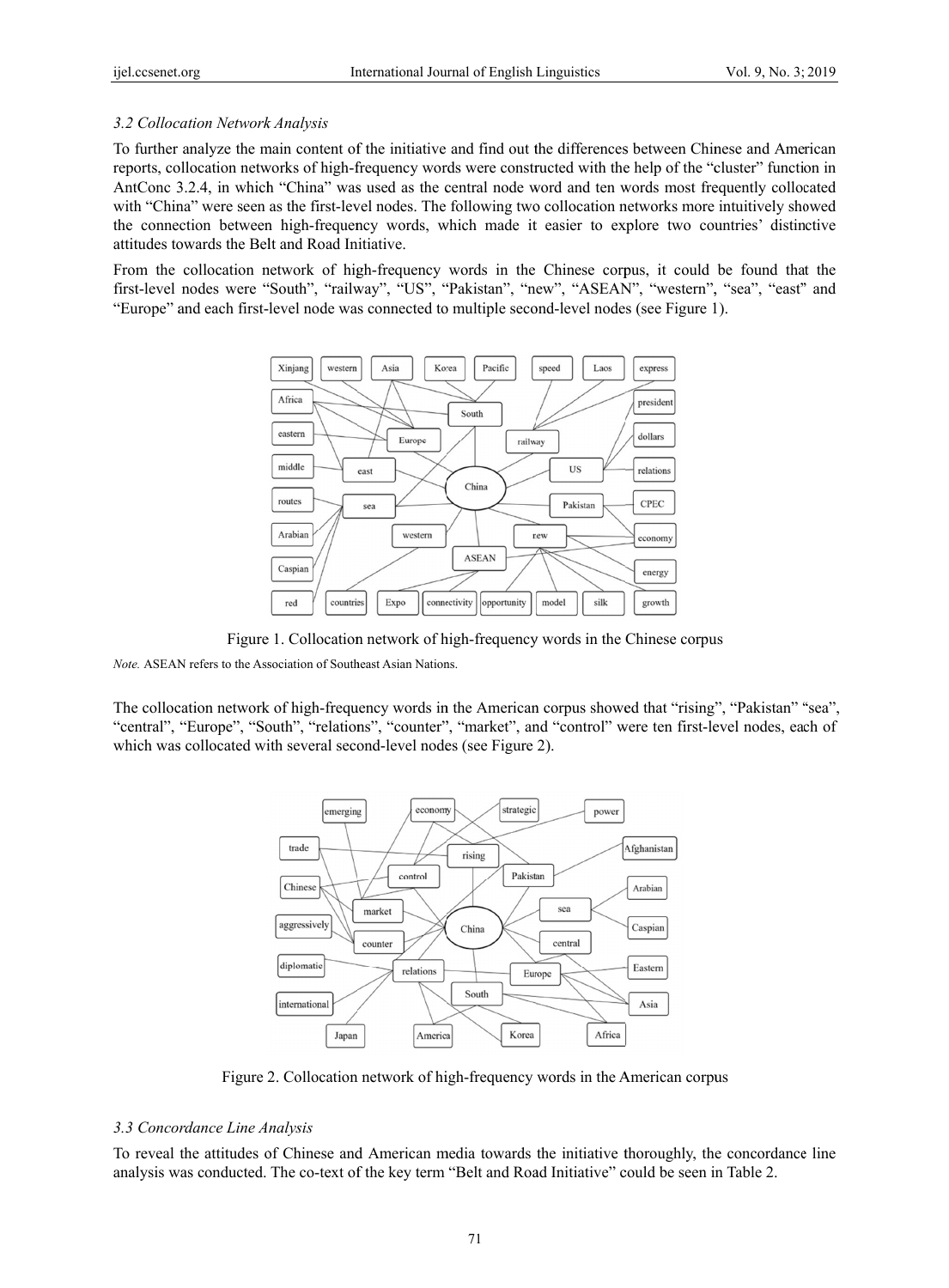# 3.2 Collocation Network Analysis

To further analyze the main content of the initiative and find out the differences between Chinese and American reports, collocation networks of high-frequency words were constructed with the help of the "cluster" function in AntConc 3.2.4, in which "China" was used as the central node word and ten words most frequently collocated with "China" were seen as the first-level nodes. The following two collocation networks more intuitively showed the connection between high-frequency words, which made it easier to explore two countries' distinctive attitudes towards the Belt and Road Initiative.

From the collocation network of high-frequency words in the Chinese corpus, it could be found that the first-level nodes were "South", "railway", "US", "Pakistan", "new", "ASEAN", "western", "sea", "east" and "Europe" and each first-level node was connected to multiple second-level nodes (see Figure 1).



Figure 1. Collocation network of high-frequency words in the Chinese corpus

Note. ASEAN refers to the Association of Southeast Asian Nations.

The collocation network of high-frequency words in the American corpus showed that "rising", "Pakistan" "sea", "central", "Europe", "South", "relations", "counter", "market", and "control" were ten first-level nodes, each of which was collocated with several second-level nodes (see Figure 2).



Figure 2. Collocation network of high-frequency words in the American corpus

## 3.3 Concordance Line Analysis

To reveal the attitudes of Chinese and American media towards the initiative thoroughly, the concordance line analysis was conducted. The co-text of the key term "Belt and Road Initiative" could be seen in Table 2.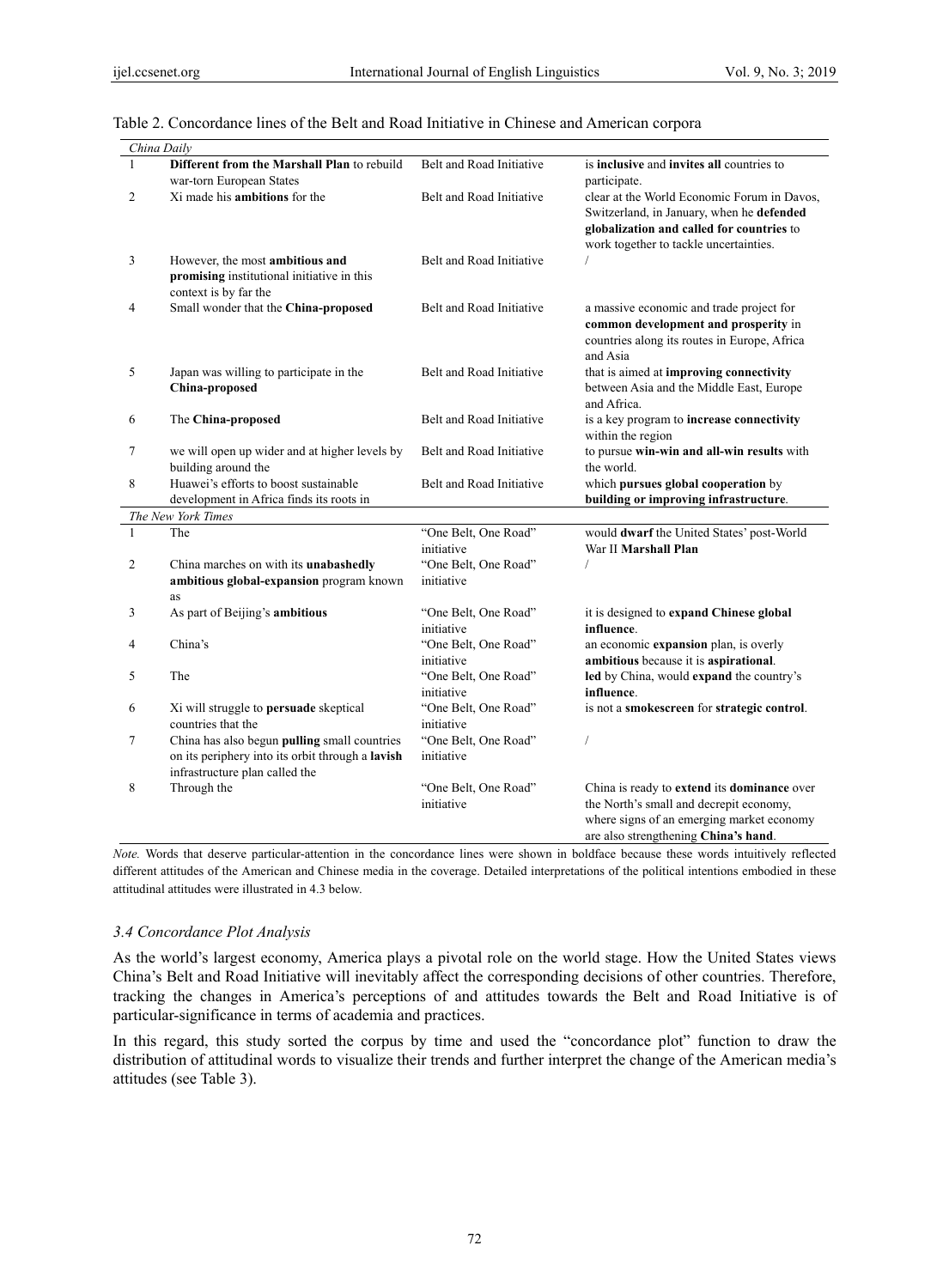|              | China Daily                                      |                                    |                                                                                |
|--------------|--------------------------------------------------|------------------------------------|--------------------------------------------------------------------------------|
| $\mathbf{1}$ | Different from the Marshall Plan to rebuild      | Belt and Road Initiative           | is <b>inclusive</b> and <b>invites all</b> countries to                        |
|              | war-torn European States                         |                                    | participate.                                                                   |
| 2            | Xi made his <b>ambitions</b> for the             | Belt and Road Initiative           | clear at the World Economic Forum in Davos,                                    |
|              |                                                  |                                    | Switzerland, in January, when he defended                                      |
|              |                                                  |                                    | globalization and called for countries to                                      |
|              |                                                  |                                    | work together to tackle uncertainties.                                         |
| 3            | However, the most ambitious and                  | Belt and Road Initiative           |                                                                                |
|              | promising institutional initiative in this       |                                    |                                                                                |
|              | context is by far the                            |                                    |                                                                                |
| 4            | Small wonder that the China-proposed             | Belt and Road Initiative           | a massive economic and trade project for                                       |
|              |                                                  |                                    | common development and prosperity in                                           |
|              |                                                  |                                    | countries along its routes in Europe, Africa                                   |
|              |                                                  |                                    | and Asia                                                                       |
| 5            | Japan was willing to participate in the          | Belt and Road Initiative           | that is aimed at <b>improving connectivity</b>                                 |
|              | China-proposed                                   |                                    | between Asia and the Middle East, Europe                                       |
|              |                                                  |                                    | and Africa.                                                                    |
| 6            | The China-proposed                               | Belt and Road Initiative           | is a key program to increase connectivity                                      |
|              |                                                  |                                    | within the region                                                              |
| 7            | we will open up wider and at higher levels by    | Belt and Road Initiative           | to pursue win-win and all-win results with                                     |
|              | building around the                              |                                    | the world.                                                                     |
| 8            | Huawei's efforts to boost sustainable            | Belt and Road Initiative           | which pursues global cooperation by                                            |
|              | development in Africa finds its roots in         |                                    | building or improving infrastructure.                                          |
|              | The New York Times                               |                                    |                                                                                |
| $\mathbf{1}$ | The                                              | "One Belt, One Road"               | would dwarf the United States' post-World                                      |
|              |                                                  | initiative                         | War II Marshall Plan                                                           |
| 2            | China marches on with its unabashedly            | "One Belt, One Road"               |                                                                                |
|              | ambitious global-expansion program known         | initiative                         |                                                                                |
|              | as                                               |                                    |                                                                                |
| 3            | As part of Beijing's ambitious                   | "One Belt, One Road"               | it is designed to expand Chinese global                                        |
|              |                                                  | initiative                         | influence.                                                                     |
| 4            | China's                                          | "One Belt, One Road"<br>initiative | an economic expansion plan, is overly<br>ambitious because it is aspirational. |
| 5            | The                                              | "One Belt, One Road"               | led by China, would expand the country's                                       |
|              |                                                  | initiative                         | influence.                                                                     |
| 6            | Xi will struggle to <b>persuade</b> skeptical    | "One Belt, One Road"               | is not a smokescreen for strategic control.                                    |
|              | countries that the                               | initiative                         |                                                                                |
| 7            | China has also begun pulling small countries     | "One Belt, One Road"               | /                                                                              |
|              | on its periphery into its orbit through a lavish | initiative                         |                                                                                |
|              | infrastructure plan called the                   |                                    |                                                                                |
| 8            | Through the                                      | "One Belt, One Road"               | China is ready to extend its dominance over                                    |
|              |                                                  | initiative                         | the North's small and decrepit economy,                                        |
|              |                                                  |                                    | where signs of an emerging market economy                                      |
|              |                                                  |                                    | are also strengthening China's hand.                                           |

# Table 2. Concordance lines of the Belt and Road Initiative in Chinese and American corpora

*Note.* Words that deserve particular-attention in the concordance lines were shown in boldface because these words intuitively reflected different attitudes of the American and Chinese media in the coverage. Detailed interpretations of the political intentions embodied in these attitudinal attitudes were illustrated in 4.3 below.

#### *3.4 Concordance Plot Analysis*

As the world's largest economy, America plays a pivotal role on the world stage. How the United States views China's Belt and Road Initiative will inevitably affect the corresponding decisions of other countries. Therefore, tracking the changes in America's perceptions of and attitudes towards the Belt and Road Initiative is of particular-significance in terms of academia and practices.

In this regard, this study sorted the corpus by time and used the "concordance plot" function to draw the distribution of attitudinal words to visualize their trends and further interpret the change of the American media's attitudes (see Table 3).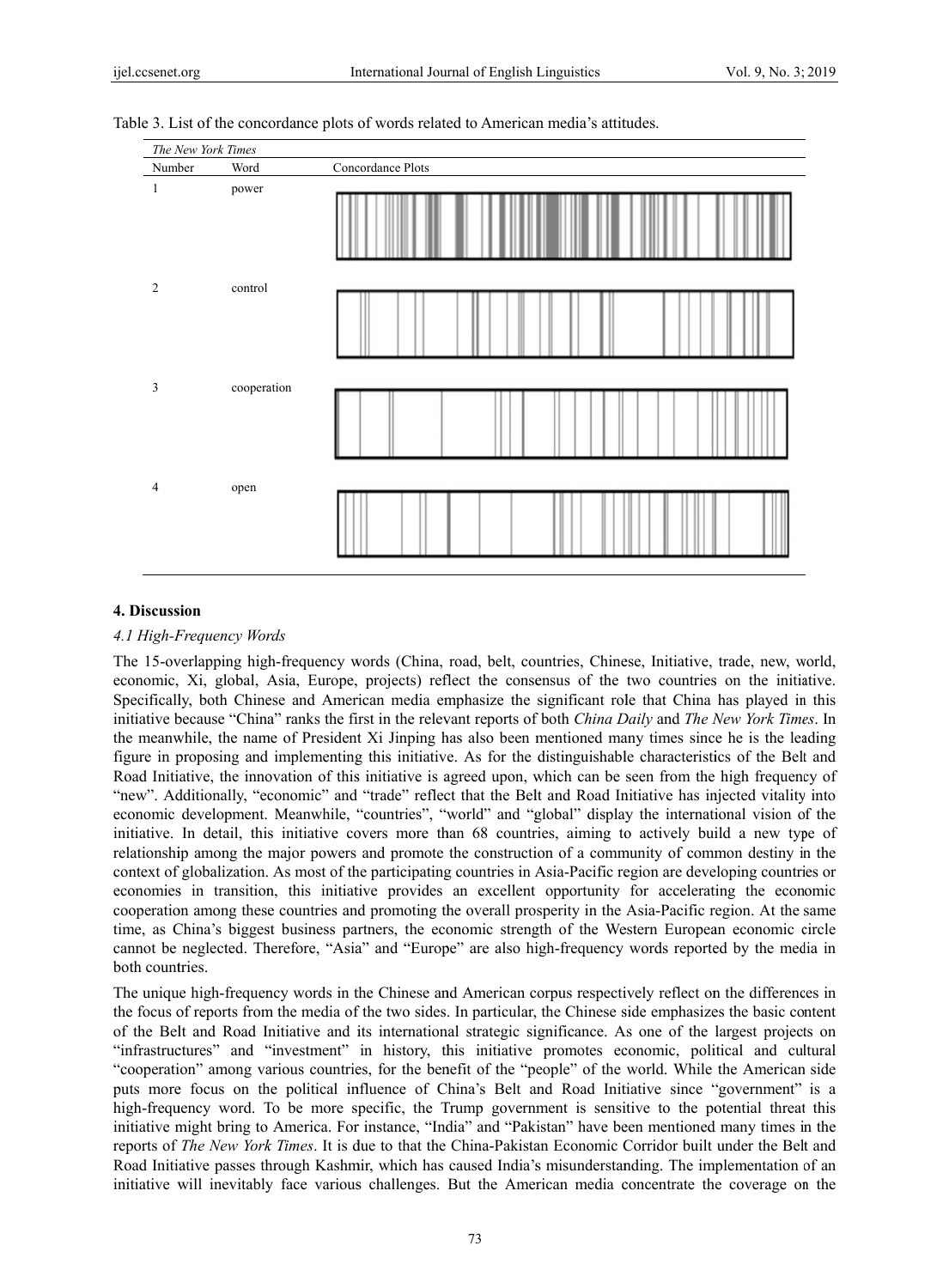| The New York Times |             |                   |  |
|--------------------|-------------|-------------------|--|
| Number             | Word        | Concordance Plots |  |
| $\mathbf{1}$       | power       |                   |  |
| 2                  | control     |                   |  |
| $\mathfrak{Z}$     | cooperation |                   |  |
| $\overline{4}$     | open        |                   |  |

#### Table 3. List of the concordance plots of words related to American media's attitudes.

# 4. Discussion

# 4.1 High-Frequency Words

The 15-overlapping high-frequency words (China, road, belt, countries, Chinese, Initiative, trade, new, world, economic, Xi, global, Asia, Europe, projects) reflect the consensus of the two countries on the initiative. Specifically, both Chinese and American media emphasize the significant role that China has played in this initiative because "China" ranks the first in the relevant reports of both China Daily and The New York Times. In the meanwhile, the name of President Xi Jinping has also been mentioned many times since he is the leading figure in proposing and implementing this initiative. As for the distinguishable characteristics of the Belt and Road Initiative, the innovation of this initiative is agreed upon, which can be seen from the high frequency of "new". Additionally, "economic" and "trade" reflect that the Belt and Road Initiative has injected vitality into economic development. Meanwhile, "countries", "world" and "global" display the international vision of the initiative. In detail, this initiative covers more than 68 countries, aiming to actively build a new type of relationship among the major powers and promote the construction of a community of common destiny in the context of globalization. As most of the participating countries in Asia-Pacific region are developing countries or economies in transition, this initiative provides an excellent opportunity for accelerating the economic cooperation among these countries and promoting the overall prosperity in the Asia-Pacific region. At the same time, as China's biggest business partners, the economic strength of the Western European economic circle cannot be neglected. Therefore, "Asia" and "Europe" are also high-frequency words reported by the media in both countries

The unique high-frequency words in the Chinese and American corpus respectively reflect on the differences in the focus of reports from the media of the two sides. In particular, the Chinese side emphasizes the basic content of the Belt and Road Initiative and its international strategic significance. As one of the largest projects on "infrastructures" and "investment" in history, this initiative promotes economic, political and cultural "cooperation" among various countries, for the benefit of the "people" of the world. While the American side puts more focus on the political influence of China's Belt and Road Initiative since "government" is a high-frequency word. To be more specific, the Trump government is sensitive to the potential threat this initiative might bring to America. For instance, "India" and "Pakistan" have been mentioned many times in the reports of The New York Times. It is due to that the China-Pakistan Economic Corridor built under the Belt and Road Initiative passes through Kashmir, which has caused India's misunderstanding. The implementation of an initiative will inevitably face various challenges. But the American media concentrate the coverage on the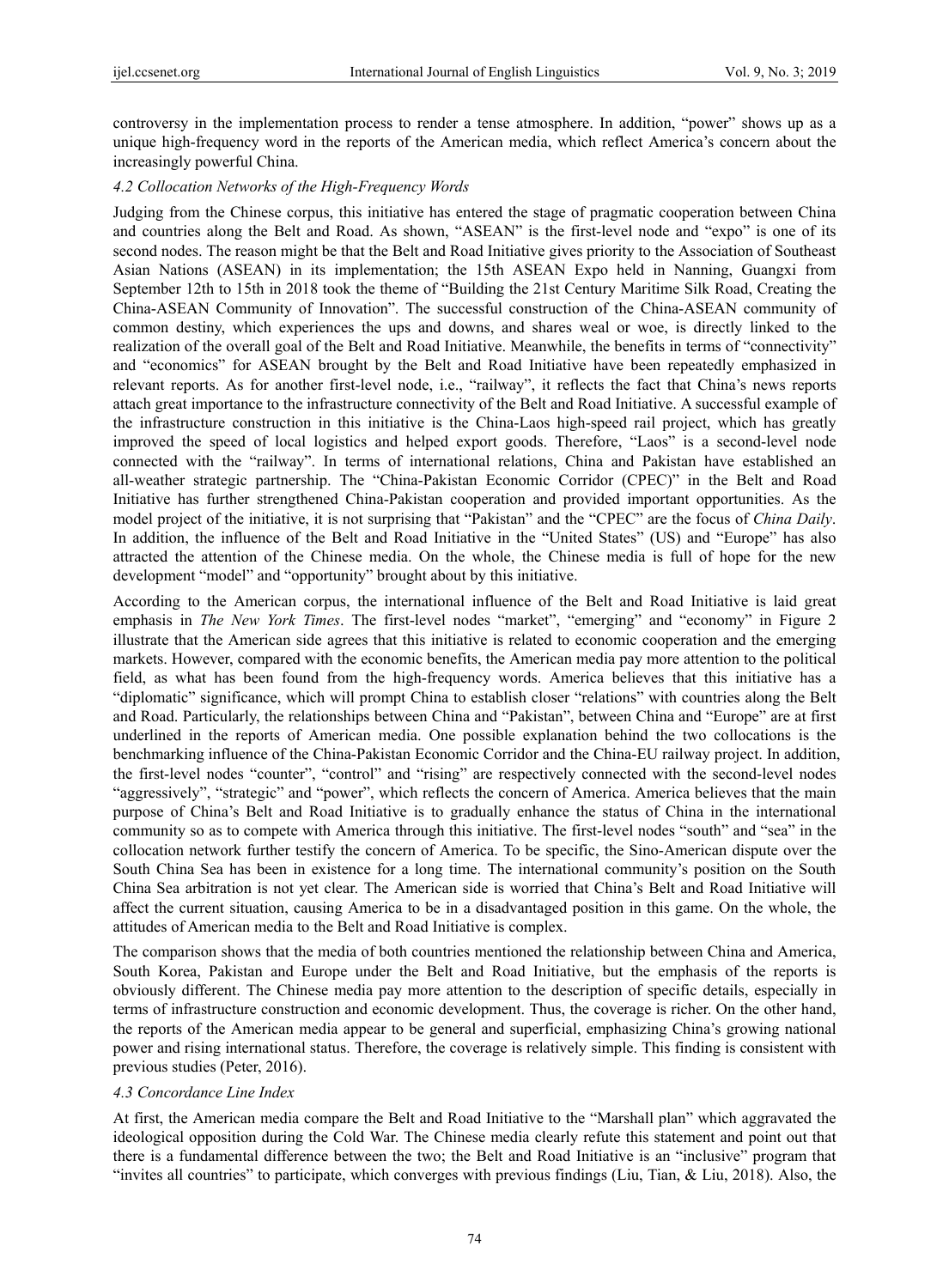controversy in the implementation process to render a tense atmosphere. In addition, "power" shows up as a unique high-frequency word in the reports of the American media, which reflect America's concern about the increasingly powerful China.

## *4.2 Collocation Networks of the High-Frequency Words*

Judging from the Chinese corpus, this initiative has entered the stage of pragmatic cooperation between China and countries along the Belt and Road. As shown, "ASEAN" is the first-level node and "expo" is one of its second nodes. The reason might be that the Belt and Road Initiative gives priority to the Association of Southeast Asian Nations (ASEAN) in its implementation; the 15th ASEAN Expo held in Nanning, Guangxi from September 12th to 15th in 2018 took the theme of "Building the 21st Century Maritime Silk Road, Creating the China-ASEAN Community of Innovation". The successful construction of the China-ASEAN community of common destiny, which experiences the ups and downs, and shares weal or woe, is directly linked to the realization of the overall goal of the Belt and Road Initiative. Meanwhile, the benefits in terms of "connectivity" and "economics" for ASEAN brought by the Belt and Road Initiative have been repeatedly emphasized in relevant reports. As for another first-level node, i.e., "railway", it reflects the fact that China's news reports attach great importance to the infrastructure connectivity of the Belt and Road Initiative. A successful example of the infrastructure construction in this initiative is the China-Laos high-speed rail project, which has greatly improved the speed of local logistics and helped export goods. Therefore, "Laos" is a second-level node connected with the "railway". In terms of international relations, China and Pakistan have established an all-weather strategic partnership. The "China-Pakistan Economic Corridor (CPEC)" in the Belt and Road Initiative has further strengthened China-Pakistan cooperation and provided important opportunities. As the model project of the initiative, it is not surprising that "Pakistan" and the "CPEC" are the focus of *China Daily*. In addition, the influence of the Belt and Road Initiative in the "United States" (US) and "Europe" has also attracted the attention of the Chinese media. On the whole, the Chinese media is full of hope for the new development "model" and "opportunity" brought about by this initiative.

According to the American corpus, the international influence of the Belt and Road Initiative is laid great emphasis in *The New York Times*. The first-level nodes "market", "emerging" and "economy" in Figure 2 illustrate that the American side agrees that this initiative is related to economic cooperation and the emerging markets. However, compared with the economic benefits, the American media pay more attention to the political field, as what has been found from the high-frequency words. America believes that this initiative has a "diplomatic" significance, which will prompt China to establish closer "relations" with countries along the Belt and Road. Particularly, the relationships between China and "Pakistan", between China and "Europe" are at first underlined in the reports of American media. One possible explanation behind the two collocations is the benchmarking influence of the China-Pakistan Economic Corridor and the China-EU railway project. In addition, the first-level nodes "counter", "control" and "rising" are respectively connected with the second-level nodes "aggressively", "strategic" and "power", which reflects the concern of America. America believes that the main purpose of China's Belt and Road Initiative is to gradually enhance the status of China in the international community so as to compete with America through this initiative. The first-level nodes "south" and "sea" in the collocation network further testify the concern of America. To be specific, the Sino-American dispute over the South China Sea has been in existence for a long time. The international community's position on the South China Sea arbitration is not yet clear. The American side is worried that China's Belt and Road Initiative will affect the current situation, causing America to be in a disadvantaged position in this game. On the whole, the attitudes of American media to the Belt and Road Initiative is complex.

The comparison shows that the media of both countries mentioned the relationship between China and America, South Korea, Pakistan and Europe under the Belt and Road Initiative, but the emphasis of the reports is obviously different. The Chinese media pay more attention to the description of specific details, especially in terms of infrastructure construction and economic development. Thus, the coverage is richer. On the other hand, the reports of the American media appear to be general and superficial, emphasizing China's growing national power and rising international status. Therefore, the coverage is relatively simple. This finding is consistent with previous studies (Peter, 2016).

#### *4.3 Concordance Line Index*

At first, the American media compare the Belt and Road Initiative to the "Marshall plan" which aggravated the ideological opposition during the Cold War. The Chinese media clearly refute this statement and point out that there is a fundamental difference between the two; the Belt and Road Initiative is an "inclusive" program that "invites all countries" to participate, which converges with previous findings (Liu, Tian, & Liu, 2018). Also, the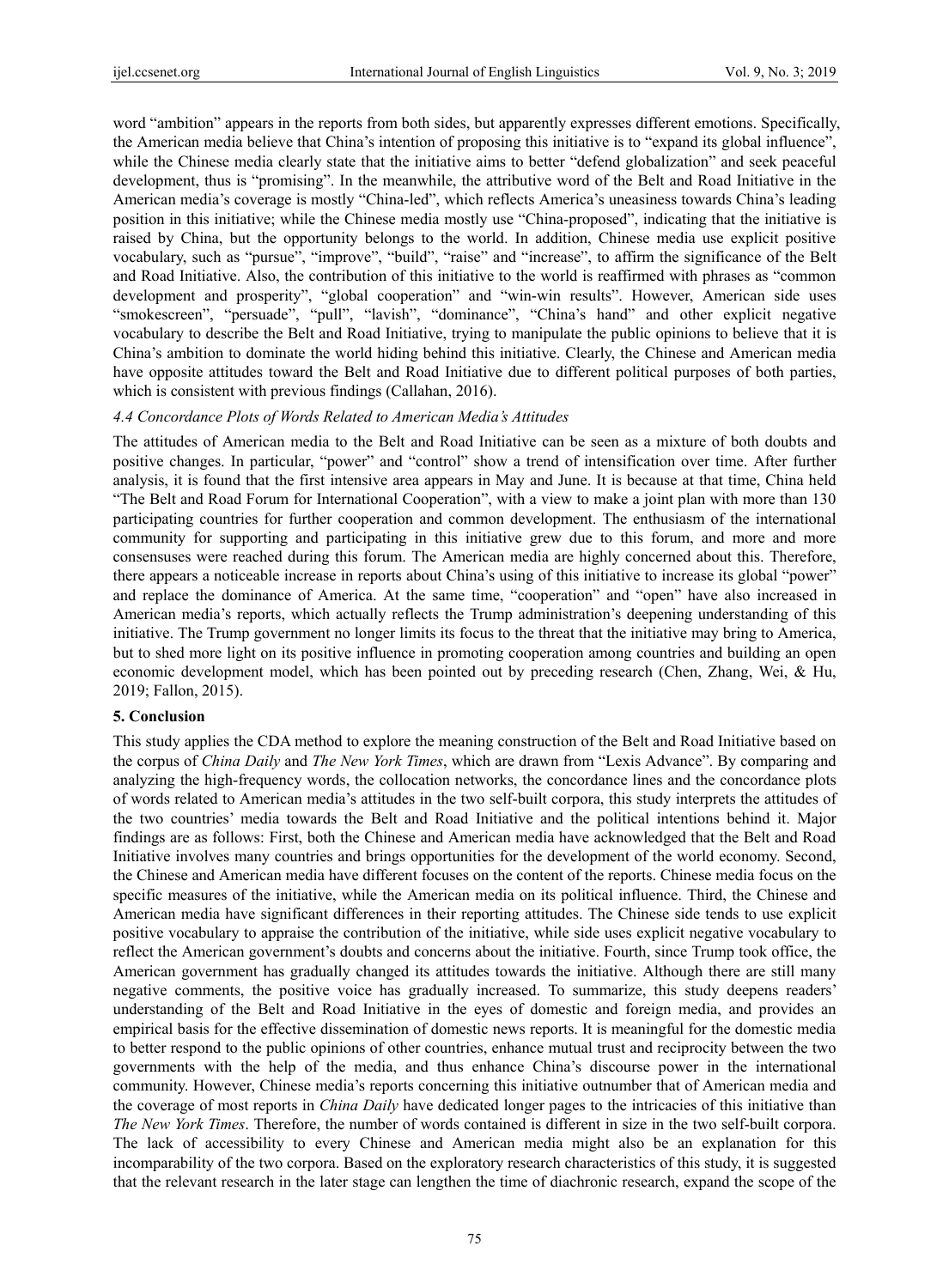word "ambition" appears in the reports from both sides, but apparently expresses different emotions. Specifically, the American media believe that China's intention of proposing this initiative is to "expand its global influence", while the Chinese media clearly state that the initiative aims to better "defend globalization" and seek peaceful development, thus is "promising". In the meanwhile, the attributive word of the Belt and Road Initiative in the American media's coverage is mostly "China-led", which reflects America's uneasiness towards China's leading position in this initiative; while the Chinese media mostly use "China-proposed", indicating that the initiative is raised by China, but the opportunity belongs to the world. In addition, Chinese media use explicit positive vocabulary, such as "pursue", "improve", "build", "raise" and "increase", to affirm the significance of the Belt and Road Initiative. Also, the contribution of this initiative to the world is reaffirmed with phrases as "common development and prosperity", "global cooperation" and "win-win results". However, American side uses "smokescreen", "persuade", "pull", "lavish", "dominance", "China's hand" and other explicit negative vocabulary to describe the Belt and Road Initiative, trying to manipulate the public opinions to believe that it is China's ambition to dominate the world hiding behind this initiative. Clearly, the Chinese and American media have opposite attitudes toward the Belt and Road Initiative due to different political purposes of both parties, which is consistent with previous findings (Callahan, 2016).

#### *4.4 Concordance Plots of Words Related to American Media's Attitudes*

The attitudes of American media to the Belt and Road Initiative can be seen as a mixture of both doubts and positive changes. In particular, "power" and "control" show a trend of intensification over time. After further analysis, it is found that the first intensive area appears in May and June. It is because at that time, China held "The Belt and Road Forum for International Cooperation", with a view to make a joint plan with more than 130 participating countries for further cooperation and common development. The enthusiasm of the international community for supporting and participating in this initiative grew due to this forum, and more and more consensuses were reached during this forum. The American media are highly concerned about this. Therefore, there appears a noticeable increase in reports about China's using of this initiative to increase its global "power" and replace the dominance of America. At the same time, "cooperation" and "open" have also increased in American media's reports, which actually reflects the Trump administration's deepening understanding of this initiative. The Trump government no longer limits its focus to the threat that the initiative may bring to America, but to shed more light on its positive influence in promoting cooperation among countries and building an open economic development model, which has been pointed out by preceding research (Chen, Zhang, Wei, & Hu, 2019; Fallon, 2015).

#### **5. Conclusion**

This study applies the CDA method to explore the meaning construction of the Belt and Road Initiative based on the corpus of *China Daily* and *The New York Times*, which are drawn from "Lexis Advance". By comparing and analyzing the high-frequency words, the collocation networks, the concordance lines and the concordance plots of words related to American media's attitudes in the two self-built corpora, this study interprets the attitudes of the two countries' media towards the Belt and Road Initiative and the political intentions behind it. Major findings are as follows: First, both the Chinese and American media have acknowledged that the Belt and Road Initiative involves many countries and brings opportunities for the development of the world economy. Second, the Chinese and American media have different focuses on the content of the reports. Chinese media focus on the specific measures of the initiative, while the American media on its political influence. Third, the Chinese and American media have significant differences in their reporting attitudes. The Chinese side tends to use explicit positive vocabulary to appraise the contribution of the initiative, while side uses explicit negative vocabulary to reflect the American government's doubts and concerns about the initiative. Fourth, since Trump took office, the American government has gradually changed its attitudes towards the initiative. Although there are still many negative comments, the positive voice has gradually increased. To summarize, this study deepens readers' understanding of the Belt and Road Initiative in the eyes of domestic and foreign media, and provides an empirical basis for the effective dissemination of domestic news reports. It is meaningful for the domestic media to better respond to the public opinions of other countries, enhance mutual trust and reciprocity between the two governments with the help of the media, and thus enhance China's discourse power in the international community. However, Chinese media's reports concerning this initiative outnumber that of American media and the coverage of most reports in *China Daily* have dedicated longer pages to the intricacies of this initiative than *The New York Times*. Therefore, the number of words contained is different in size in the two self-built corpora. The lack of accessibility to every Chinese and American media might also be an explanation for this incomparability of the two corpora. Based on the exploratory research characteristics of this study, it is suggested that the relevant research in the later stage can lengthen the time of diachronic research, expand the scope of the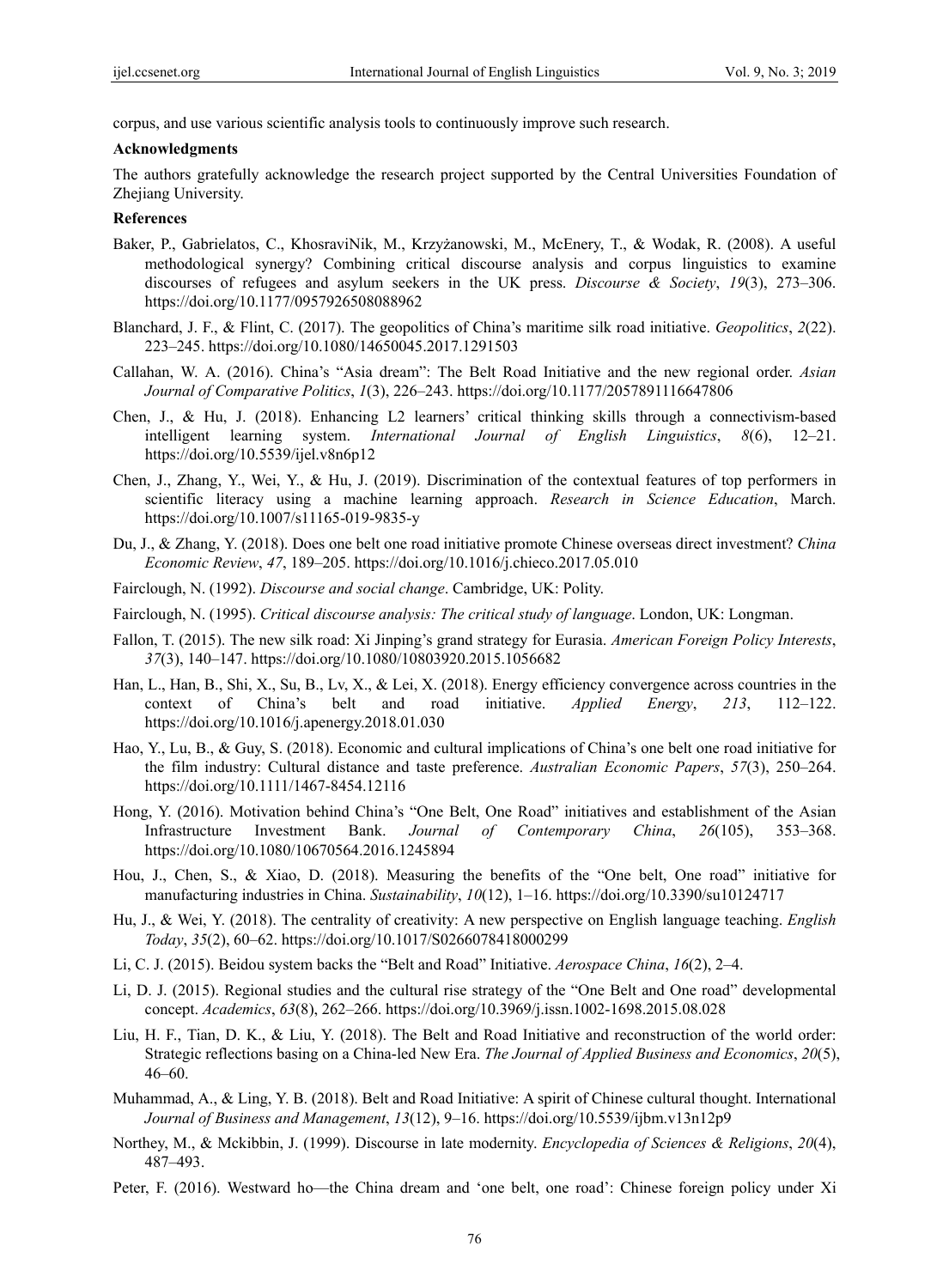corpus, and use various scientific analysis tools to continuously improve such research.

# **Acknowledgments**

The authors gratefully acknowledge the research project supported by the Central Universities Foundation of Zhejiang University.

# **References**

- Baker, P., Gabrielatos, C., KhosraviNik, M., Krzyżanowski, M., McEnery, T., & Wodak, R. (2008). A useful methodological synergy? Combining critical discourse analysis and corpus linguistics to examine discourses of refugees and asylum seekers in the UK press. *Discourse & Society*, *19*(3), 273–306. https://doi.org/10.1177/0957926508088962
- Blanchard, J. F., & Flint, C. (2017). The geopolitics of China's maritime silk road initiative. *Geopolitics*, *2*(22). 223–245. https://doi.org/10.1080/14650045.2017.1291503
- Callahan, W. A. (2016). China's "Asia dream": The Belt Road Initiative and the new regional order. *Asian Journal of Comparative Politics*, *1*(3), 226–243. https://doi.org/10.1177/2057891116647806
- Chen, J., & Hu, J. (2018). Enhancing L2 learners' critical thinking skills through a connectivism-based intelligent learning system. *International Journal of English Linguistics*, *8*(6), 12–21. https://doi.org/10.5539/ijel.v8n6p12
- Chen, J., Zhang, Y., Wei, Y., & Hu, J. (2019). Discrimination of the contextual features of top performers in scientific literacy using a machine learning approach. *Research in Science Education*, March. https://doi.org/10.1007/s11165-019-9835-y
- Du, J., & Zhang, Y. (2018). Does one belt one road initiative promote Chinese overseas direct investment? *China Economic Review*, *47*, 189–205. https://doi.org/10.1016/j.chieco.2017.05.010
- Fairclough, N. (1992). *Discourse and social change*. Cambridge, UK: Polity.
- Fairclough, N. (1995). *Critical discourse analysis: The critical study of language*. London, UK: Longman.
- Fallon, T. (2015). The new silk road: Xi Jinping's grand strategy for Eurasia. *American Foreign Policy Interests*, *37*(3), 140–147. https://doi.org/10.1080/10803920.2015.1056682
- Han, L., Han, B., Shi, X., Su, B., Lv, X., & Lei, X. (2018). Energy efficiency convergence across countries in the context of China's belt and road initiative. *Applied Energy*, *213*, 112–122. https://doi.org/10.1016/j.apenergy.2018.01.030
- Hao, Y., Lu, B., & Guy, S. (2018). Economic and cultural implications of China's one belt one road initiative for the film industry: Cultural distance and taste preference. *Australian Economic Papers*, *57*(3), 250–264. https://doi.org/10.1111/1467-8454.12116
- Hong, Y. (2016). Motivation behind China's "One Belt, One Road" initiatives and establishment of the Asian Infrastructure Investment Bank. *Journal of Contemporary China*, *26*(105), 353–368. https://doi.org/10.1080/10670564.2016.1245894
- Hou, J., Chen, S., & Xiao, D. (2018). Measuring the benefits of the "One belt, One road" initiative for manufacturing industries in China. *Sustainability*, *10*(12), 1–16. https://doi.org/10.3390/su10124717
- Hu, J., & Wei, Y. (2018). The centrality of creativity: A new perspective on English language teaching. *English Today*, *35*(2), 60–62. https://doi.org/10.1017/S0266078418000299
- Li, C. J. (2015). Beidou system backs the "Belt and Road" Initiative. *Aerospace China*, *16*(2), 2–4.
- Li, D. J. (2015). Regional studies and the cultural rise strategy of the "One Belt and One road" developmental concept. *Academics*, *63*(8), 262–266. https://doi.org/10.3969/j.issn.1002-1698.2015.08.028
- Liu, H. F., Tian, D. K., & Liu, Y. (2018). The Belt and Road Initiative and reconstruction of the world order: Strategic reflections basing on a China-led New Era. *The Journal of Applied Business and Economics*, *20*(5), 46–60.
- Muhammad, A., & Ling, Y. B. (2018). Belt and Road Initiative: A spirit of Chinese cultural thought. International *Journal of Business and Management*, *13*(12), 9–16. https://doi.org/10.5539/ijbm.v13n12p9
- Northey, M., & Mckibbin, J. (1999). Discourse in late modernity. *Encyclopedia of Sciences & Religions*, *20*(4), 487–493.
- Peter, F. (2016). Westward ho—the China dream and 'one belt, one road': Chinese foreign policy under Xi